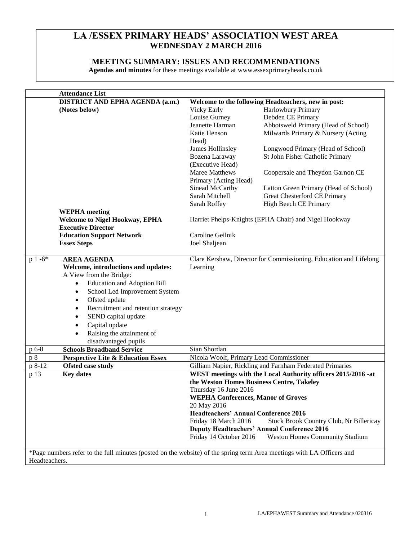# **LA /ESSEX PRIMARY HEADS' ASSOCIATION WEST AREA WEDNESDAY 2 MARCH 2016**

# **MEETING SUMMARY: ISSUES AND RECOMMENDATIONS**

**Agendas and minutes** for these meetings available at www.essexprimaryheads.co.uk

| <b>Attendance List</b>                               |                                                                                                                       |                                                                   |  |  |
|------------------------------------------------------|-----------------------------------------------------------------------------------------------------------------------|-------------------------------------------------------------------|--|--|
| <b>DISTRICT AND EPHA AGENDA (a.m.)</b>               |                                                                                                                       | Welcome to the following Headteachers, new in post:               |  |  |
| (Notes below)                                        | Vicky Early                                                                                                           | Harlowbury Primary                                                |  |  |
|                                                      | Louise Gurney                                                                                                         | Debden CE Primary                                                 |  |  |
|                                                      | Jeanette Harman                                                                                                       | Abbotsweld Primary (Head of School)                               |  |  |
|                                                      | Katie Henson                                                                                                          | Milwards Primary & Nursery (Acting                                |  |  |
|                                                      | Head)                                                                                                                 |                                                                   |  |  |
|                                                      | James Hollinsley                                                                                                      | Longwood Primary (Head of School)                                 |  |  |
|                                                      | Bozena Laraway                                                                                                        | St John Fisher Catholic Primary                                   |  |  |
|                                                      | (Executive Head)                                                                                                      |                                                                   |  |  |
|                                                      | Maree Matthews                                                                                                        | Coopersale and Theydon Garnon CE                                  |  |  |
|                                                      | Primary (Acting Head)                                                                                                 |                                                                   |  |  |
|                                                      | Sinead McCarthy                                                                                                       | Latton Green Primary (Head of School)                             |  |  |
|                                                      | Sarah Mitchell                                                                                                        | Great Chesterford CE Primary                                      |  |  |
|                                                      | Sarah Roffey                                                                                                          | High Beech CE Primary                                             |  |  |
| <b>WEPHA</b> meeting                                 |                                                                                                                       |                                                                   |  |  |
| <b>Welcome to Nigel Hookway, EPHA</b>                |                                                                                                                       | Harriet Phelps-Knights (EPHA Chair) and Nigel Hookway             |  |  |
| <b>Executive Director</b>                            |                                                                                                                       |                                                                   |  |  |
| <b>Education Support Network</b>                     | Caroline Geilnik                                                                                                      |                                                                   |  |  |
| <b>Essex Steps</b>                                   | Joel Shaljean                                                                                                         |                                                                   |  |  |
|                                                      |                                                                                                                       |                                                                   |  |  |
| <b>AREA AGENDA</b><br>$p 1 -6*$                      |                                                                                                                       | Clare Kershaw, Director for Commissioning, Education and Lifelong |  |  |
| Welcome, introductions and updates:                  | Learning                                                                                                              |                                                                   |  |  |
| A View from the Bridge:                              |                                                                                                                       |                                                                   |  |  |
| <b>Education and Adoption Bill</b><br>$\bullet$      |                                                                                                                       |                                                                   |  |  |
| School Led Improvement System<br>$\bullet$           |                                                                                                                       |                                                                   |  |  |
| Ofsted update<br>٠                                   |                                                                                                                       |                                                                   |  |  |
| Recruitment and retention strategy<br>٠              |                                                                                                                       |                                                                   |  |  |
| SEND capital update                                  |                                                                                                                       |                                                                   |  |  |
| Capital update                                       |                                                                                                                       |                                                                   |  |  |
| Raising the attainment of                            |                                                                                                                       |                                                                   |  |  |
| disadvantaged pupils                                 |                                                                                                                       |                                                                   |  |  |
| p 6-8<br><b>Schools Broadband Service</b>            | Sian Shordan                                                                                                          |                                                                   |  |  |
| <b>Perspective Lite &amp; Education Essex</b><br>p 8 | Nicola Woolf, Primary Lead Commissioner                                                                               |                                                                   |  |  |
| <b>Ofsted case study</b><br>p 8-12                   |                                                                                                                       | Gilliam Napier, Rickling and Farnham Federated Primaries          |  |  |
| p 13<br><b>Key dates</b>                             |                                                                                                                       | WEST meetings with the Local Authority officers 2015/2016 -at     |  |  |
|                                                      | the Weston Homes Business Centre, Takeley                                                                             |                                                                   |  |  |
|                                                      | Thursday 16 June 2016                                                                                                 |                                                                   |  |  |
|                                                      | <b>WEPHA Conferences, Manor of Groves</b>                                                                             |                                                                   |  |  |
|                                                      | 20 May 2016                                                                                                           |                                                                   |  |  |
|                                                      | <b>Headteachers' Annual Conference 2016</b>                                                                           |                                                                   |  |  |
|                                                      | Friday 18 March 2016                                                                                                  | Stock Brook Country Club, Nr Billericay                           |  |  |
|                                                      |                                                                                                                       | <b>Deputy Headteachers' Annual Conference 2016</b>                |  |  |
|                                                      | Friday 14 October 2016                                                                                                | <b>Weston Homes Community Stadium</b>                             |  |  |
|                                                      |                                                                                                                       |                                                                   |  |  |
|                                                      | *Page numbers refer to the full minutes (posted on the website) of the spring term Area meetings with LA Officers and |                                                                   |  |  |
| Headteachers.                                        |                                                                                                                       |                                                                   |  |  |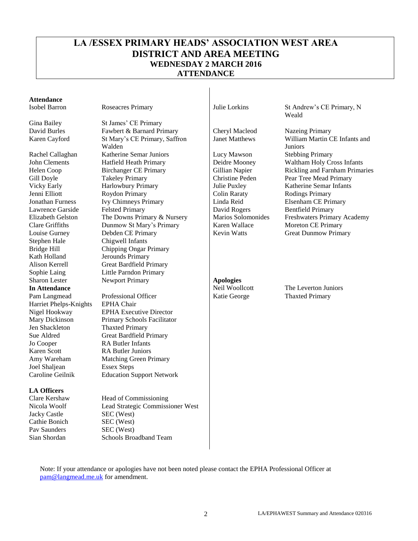# **LA /ESSEX PRIMARY HEADS' ASSOCIATION WEST AREA DISTRICT AND AREA MEETING WEDNESDAY 2 MARCH 2016 ATTENDANCE**

# **Attendance**

Lawrence Garside Elizabeth Gelston Clare Griffiths Stephen Hale Chigwell Infants<br>Bridge Hill Chipping Ongar Kath Holland Jerounds Primary Sharon Lester **Newport Primary Apologies** Harriet Phelps-Knights EPHA Chair

Joel Shaljean Essex Steps

#### **LA Officers**

Jacky Castle SEC (West) Cathie Bonich SEC (West) Pav Saunders SEC (West)

Gina Bailey St James' CE Primary David Burles Fawbert & Barnard Primary<br>
Karen Cavford St Mary's CE Primary Saffron Janet Matthews William Martin C Karen Cayford St Mary's CE Primary, Saffron Walden Rachel Callaghan Katherine Semar Juniors Lucy Mawson Stebbing Primary John Clements Hatfield Heath Primary Deidre Mooney Waltham Holy Cross Infants Gill Doyle Takeley Primary Christine Peden Pear Tree Mead Primary Vicky Early **Harlowbury Primary** Julie Puxley Katherine Semar Infants Jenni Elliott Roydon Primary Colin Raraty Rodings Primary Jonathan Furness Ivy Chimneys Primary Linda Reid Elsenham CE Primary Felsted Primary The Downs Primary & Nursery Dunmow St Mary's Primary Louise Gurney Debden CE Primary Revin Watts Great Dunmow Primary Stephen Hale Chigwell Infants Chipping Ongar Primary Alison Kerrell Great Bardfield Primary Sophie Laing Little Parndon Primary

Pam Langmead Professional Officer Katie George Thaxted Primary Nigel Hookway EPHA Executive Director Mary Dickinson Primary Schools Facilitator<br>Jen Shackleton Thaxted Primary Thaxted Primary Sue Aldred Great Bardfield Primary Jo Cooper RA Butler Infants Karen Scott RA Butler Juniors Amy Wareham Matching Green Primary Caroline Geilnik Education Support Network

Clare Kershaw Head of Commissioning Nicola Woolf Lead Strategic Commissioner West Sian Shordan Schools Broadband Team

David Rogers Marios Solomonides Karen Wallace

Isobel Barron Roseacres Primary Julie Lorkins St Andrew's CE Primary, N Weald

William Martin CE Infants and Juniors Helen Coop Birchanger CE Primary Gillian Napier Rickling and Farnham Primaries<br>
Gill Dovle Takelev Primary Christine Peden Pear Tree Mead Primary Bentfield Primary Freshwaters Primary Academy Moreton CE Primary

**In Attendance** Neil Woollcott The Leverton Juniors

Note: If your attendance or apologies have not been noted please contact the EPHA Professional Officer at [pam@langmead.me.uk](mailto:pam@langmead.me.uk) for amendment.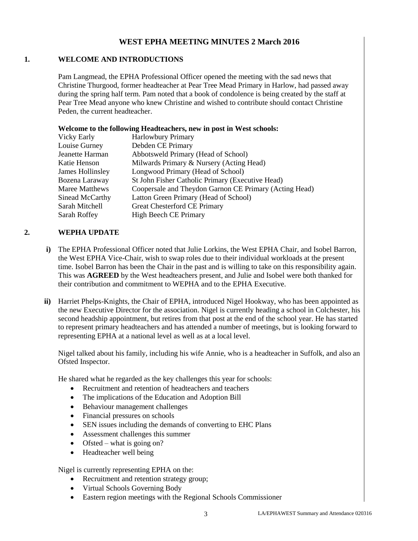## **WEST EPHA MEETING MINUTES 2 March 2016**

#### **1. WELCOME AND INTRODUCTIONS**

Pam Langmead, the EPHA Professional Officer opened the meeting with the sad news that Christine Thurgood, former headteacher at Pear Tree Mead Primary in Harlow, had passed away during the spring half term. Pam noted that a book of condolence is being created by the staff at Pear Tree Mead anyone who knew Christine and wished to contribute should contact Christine Peden, the current headteacher.

#### **Welcome to the following Headteachers, new in post in West schools:**

| Vicky Early      | <b>Harlowbury Primary</b>                              |
|------------------|--------------------------------------------------------|
| Louise Gurney    | Debden CE Primary                                      |
| Jeanette Harman  | Abbotsweld Primary (Head of School)                    |
| Katie Henson     | Milwards Primary & Nursery (Acting Head)               |
| James Hollinsley | Longwood Primary (Head of School)                      |
| Bozena Laraway   | St John Fisher Catholic Primary (Executive Head)       |
| Maree Matthews   | Coopersale and Theydon Garnon CE Primary (Acting Head) |
| Sinead McCarthy  | Latton Green Primary (Head of School)                  |
| Sarah Mitchell   | Great Chesterford CE Primary                           |
| Sarah Roffey     | <b>High Beech CE Primary</b>                           |

#### **2. WEPHA UPDATE**

- **i)** The EPHA Professional Officer noted that Julie Lorkins, the West EPHA Chair, and Isobel Barron, the West EPHA Vice-Chair, wish to swap roles due to their individual workloads at the present time. Isobel Barron has been the Chair in the past and is willing to take on this responsibility again. This was **AGREED** by the West headteachers present, and Julie and Isobel were both thanked for their contribution and commitment to WEPHA and to the EPHA Executive.
- **ii)** Harriet Phelps-Knights, the Chair of EPHA, introduced Nigel Hookway, who has been appointed as the new Executive Director for the association. Nigel is currently heading a school in Colchester, his second headship appointment, but retires from that post at the end of the school year. He has started to represent primary headteachers and has attended a number of meetings, but is looking forward to representing EPHA at a national level as well as at a local level.

Nigel talked about his family, including his wife Annie, who is a headteacher in Suffolk, and also an Ofsted Inspector.

He shared what he regarded as the key challenges this year for schools:

- Recruitment and retention of headteachers and teachers
- The implications of the Education and Adoption Bill
- Behaviour management challenges
- Financial pressures on schools
- SEN issues including the demands of converting to EHC Plans
- Assessment challenges this summer
- Ofsted what is going on?
- Headteacher well being

Nigel is currently representing EPHA on the:

- Recruitment and retention strategy group;
- Virtual Schools Governing Body
- Eastern region meetings with the Regional Schools Commissioner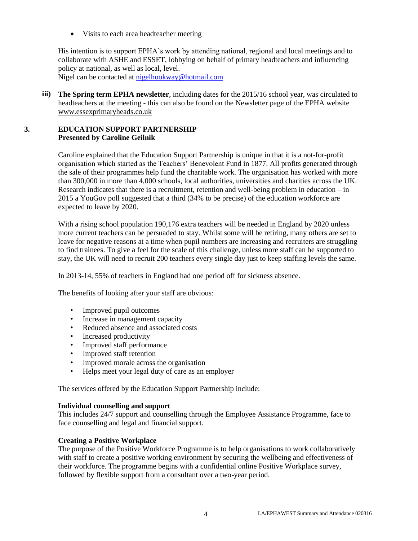Visits to each area headteacher meeting

His intention is to support EPHA's work by attending national, regional and local meetings and to collaborate with ASHE and ESSET, lobbying on behalf of primary headteachers and influencing policy at national, as well as local, level. Nigel can be contacted at [nigelhookway@hotmail.com](mailto:nigelhookway@hotmail.com)

**iii) The Spring term EPHA newsletter**, including dates for the 2015/16 school year, was circulated to headteachers at the meeting - this can also be found on the Newsletter page of the EPHA website [www.essexprimaryheads.co.uk](http://www.essexprimaryheads.co.uk/)

### **3. EDUCATION SUPPORT PARTNERSHIP Presented by Caroline Geilnik**

Caroline explained that the Education Support Partnership is unique in that it is a not-for-profit organisation which started as the Teachers' Benevolent Fund in 1877. All profits generated through the sale of their programmes help fund the charitable work. The organisation has worked with more than 300,000 in more than 4,000 schools, local authorities, universities and charities across the UK. Research indicates that there is a recruitment, retention and well-being problem in education – in 2015 a YouGov poll suggested that a third (34% to be precise) of the education workforce are expected to leave by 2020.

With a rising school population 190,176 extra teachers will be needed in England by 2020 unless more current teachers can be persuaded to stay. Whilst some will be retiring, many others are set to leave for negative reasons at a time when pupil numbers are increasing and recruiters are struggling to find trainees. To give a feel for the scale of this challenge, unless more staff can be supported to stay, the UK will need to recruit 200 teachers every single day just to keep staffing levels the same.

In 2013-14, 55% of teachers in England had one period off for sickness absence.

The benefits of looking after your staff are obvious:

- Improved pupil outcomes
- Increase in management capacity
- Reduced absence and associated costs
- Increased productivity
- Improved staff performance
- Improved staff retention
- Improved morale across the organisation
- Helps meet your legal duty of care as an employer

The services offered by the Education Support Partnership include:

#### **Individual counselling and support**

This includes 24/7 support and counselling through the Employee Assistance Programme, face to face counselling and legal and financial support.

#### **Creating a Positive Workplace**

The purpose of the Positive Workforce Programme is to help organisations to work collaboratively with staff to create a positive working environment by securing the wellbeing and effectiveness of their workforce. The programme begins with a confidential online Positive Workplace survey, followed by flexible support from a consultant over a two-year period.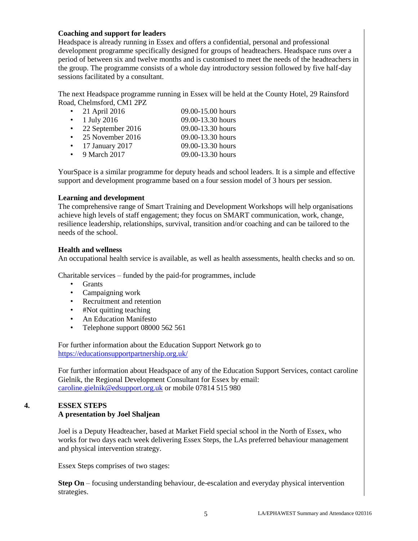#### **Coaching and support for leaders**

Headspace is already running in Essex and offers a confidential, personal and professional development programme specifically designed for groups of headteachers. Headspace runs over a period of between six and twelve months and is customised to meet the needs of the headteachers in the group. The programme consists of a whole day introductory session followed by five half-day sessions facilitated by a consultant.

The next Headspace programme running in Essex will be held at the County Hotel, 29 Rainsford Road, Chelmsford, CM1 2PZ

| 21 April 2016     | 09.00-15.00 hours |
|-------------------|-------------------|
| 1 July 2016       | 09.00-13.30 hours |
| 22 September 2016 | 09.00-13.30 hours |
| 25 November 2016  | 09.00-13.30 hours |
| 17 January 2017   | 09.00-13.30 hours |
| 9 March 2017      | 09.00-13.30 hours |

YourSpace is a similar programme for deputy heads and school leaders. It is a simple and effective support and development programme based on a four session model of 3 hours per session.

#### **Learning and development**

The comprehensive range of Smart Training and Development Workshops will help organisations achieve high levels of staff engagement; they focus on SMART communication, work, change, resilience leadership, relationships, survival, transition and/or coaching and can be tailored to the needs of the school.

#### **Health and wellness**

An occupational health service is available, as well as health assessments, health checks and so on.

Charitable services – funded by the paid-for programmes, include

- Grants
- Campaigning work
- Recruitment and retention
- #Not quitting teaching
- An Education Manifesto
- Telephone support 08000 562 561

For further information about the Education Support Network go to <https://educationsupportpartnership.org.uk/>

For further information about Headspace of any of the Education Support Services, contact caroline Gielnik, the Regional Development Consultant for Essex by email: [caroline.gielnik@edsupport.org.uk](mailto:caroline.gielnik@edsupport.org.uk) or mobile 07814 515 980

# **4. ESSEX STEPS A presentation by Joel Shaljean**

Joel is a Deputy Headteacher, based at Market Field special school in the North of Essex, who works for two days each week delivering Essex Steps, the LAs preferred behaviour management and physical intervention strategy.

Essex Steps comprises of two stages:

**Step On** – focusing understanding behaviour, de-escalation and everyday physical intervention strategies.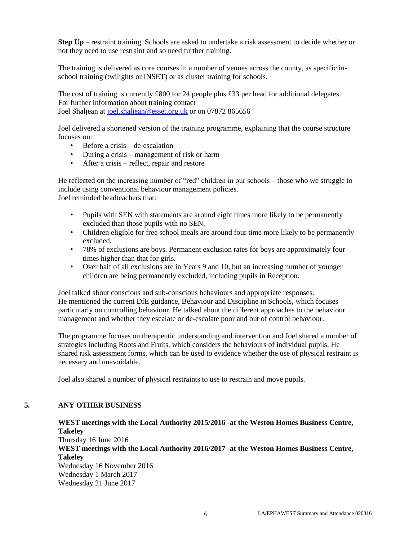**Step Up** – restraint training. Schools are asked to undertake a risk assessment to decide whether or not they need to use restraint and so need further training.

The training is delivered as core courses in a number of venues across the county, as specific inschool training (twilights or INSET) or as cluster training for schools.

The cost of training is currently £800 for 24 people plus £33 per head for additional delegates. For further information about training contact Joel Shaljean at [joel.shaljean@esset.org.uk](mailto:joel.shaljean@esset.org.uk) or on 07872 865656

Joel delivered a shortened version of the training programme, explaining that the course structure focuses on:

- Before a crisis de-escalation
- During a crisis management of risk or harm
- After a crisis reflect, repair and restore

He reflected on the increasing number of "red" children in our schools – those who we struggle to include using conventional behaviour management policies. Joel reminded headteachers that:

- Pupils with SEN with statements are around eight times more likely to be permanently excluded than those pupils with no SEN.
- Children eligible for free school meals are around four time more likely to be permanently excluded.
- 78% of exclusions are boys. Permanent exclusion rates for boys are approximately four times higher than that for girls.
- Over half of all exclusions are in Years 9 and 10, but an increasing number of younger children are being permanently excluded, including pupils in Reception.

Joel talked about conscious and sub-conscious behaviours and appropriate responses. He mentioned the current DfE guidance, Behaviour and Discipline in Schools, which focuses particularly on controlling behaviour. He talked about the different approaches to the behaviour management and whether they escalate or de-escalate poor and out of control behaviour.

The programme focuses on therapeutic understanding and intervention and Joel shared a number of strategies including Roots and Fruits, which considers the behaviours of individual pupils. He shared risk assessment forms, which can be used to evidence whether the use of physical restraint is necessary and unavoidable.

Joel also shared a number of physical restraints to use to restrain and move pupils.

#### **5. ANY OTHER BUSINESS**

# **WEST meetings with the Local Authority 2015/2016 -at the Weston Homes Business Centre, Takeley**

Thursday 16 June 2016 **WEST meetings with the Local Authority 2016/2017 -at the Weston Homes Business Centre, Takeley**  Wednesday 16 November 2016 Wednesday 1 March 2017 Wednesday 21 June 2017